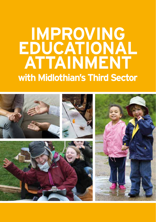# **IMPROVING EDUCATIONAL ATTAINMENT with Midlothian's Third Sector**

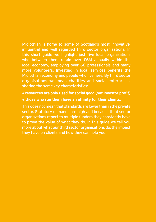Midlothian is home to some of Scotland's most innovative, influential and well regarded third sector organisations. In this short guide we highlight just five local organisations who between them retain over £6M annually within the local economy, employing over 60 professionals and many more volunteers. Investing in local services benefits the Midlothian economy and people who live here. By third sector organisations we mean charities and social enterprises, sharing the same key characteristics:

- **• resources are only used for social good (not investor profit)**
- **• those who run them have an affinity for their clients.**

This does not mean that standards are lower than in the private sector. Statutory demands are high and because third sector organisations report to multiple funders they constantly have to prove the value of what they do. In this guide we tell you more about what our third sector organisations do, the impact they have on clients and how they can help you.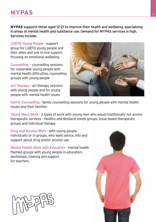## **MYPAS** <sup>3</sup>

**MYPAS** supports those aged 12-21 to improve their health and wellbeing, specialising in areas of mental health and substance use. Demand for MYPAS services is high. Services include:

LGBTQ Young People - support group for LGBTQ young people and their allies and one to one support focusing on emotional wellbeing

Counselling - counselling sessions for vulnerable young people with mental health difficulties, counselling groups with young people

Art Therapy - art therapy sessions with young people and for young people with mental health issues



Family Counselling - family counselling sessions for young people with mental health issues and their families

Young Mens Work - 3 types of work with young men who would traditionally not access therapeutic services - Healthy and Resilient minds groups, Issue-based therapeutic groups and individual therapy

Drug and Alcohol Work - with young people, individually or in groups, who want advice, info and support about drug and/or alcohol use

Mental Health Work with Education - mental health themed groups with young people in education, workshops, training and support for teachers.

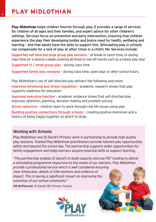**Play Midlothian** helps children flourish through play. It provides a range of services for children of all ages and their families, and expert advice for other children's settings. Services focus on prevention and early intervention, ensuring that children experience the play their developing bodies and brains need for health, wellbeing and learning – and that adults have the skills to support this. Stimulating play in schools can compensate for a lack of play at other times in a child's life. Services include:

Supported self-directed large group play sessions – at break or lunch time, or during class time (or a session a week covering all three or one-off events such as a messy play day) Supported 1:1 / small group play – during class time

Supported family play sessions – during class time, open days or after school hours.

Play Midlothian's use of self-directed play delivers the following outcomes:

Improved emotional and stress regulation – academic research shows that play supports readiness for education

Improved executive function – academic evidence shows that self-directed play improves attention, planning, decision making and problem solving

Stress reduction – children learn to work through real life issues using play

Building positive connections through schools – creating positive memories and a history of being happy together on which to draw.

#### Working with Schools

Play Midlothian and St David's Primary work in partnership to provide high quality play sessions. Trained Play Midlothian practitioners provide tailored play opportunities within and beyond the school day. The partnership supports wider opportunities for family engagement and helps learners acquire essential skills to support learning.

*"The partnership enables St David's to build capacity and use PEF funding to deliver a stimulating programme responsive to the needs of our learners. Play Midlothian provide a professional service which is well considered ensuring clear timescales, details of interventions and evidence of impact. This is having a significant impact on improving the outcomes of our school community"* Gill McPherson, St David's RC Primary School.

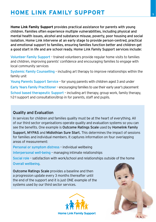## **PLAY AND READ HOME LINK FAMILY SUPPORT**

**Home Link Family Support** provides practical assistance for parents with young children. Families often experience multiple vulnerabilities, including physical and mental health issues, alcohol and substance misuse, poverty, poor housing and social isolation. Home Link intervene at an early stage to provide person-centred, practical and emotional support to families, ensuring families function better and children get a good start in life and are school ready. Home Link Family Support services include:

Volunteer Family Support – trained volunteers provide regular home visits to families and children, improving parents' confidence and encouraging families to engage with local community services

Systemic Family Counselling – including art therapy to improve relationships within the family unit

Young Parents Support Service – for young parents with children aged 3 and under Early Years Family Practitioner – encouraging families to use their early year's placement School based therapeutic Support - including art therapy, group work, family therapy, 1-2-1 support and consultation/drop in for parents, staff and pupils.

#### Quality and Evaluation

In services for children and families quality must be at the heart of everything. All of our third sector organisations operate quality and evaluation systems so you can see the benefits. One example is Outcome Ratings Scale used by Homelink Family

Support, MYPAS and Midlothian Sure Start. This determines the impact of sessions for families and individual members. It captures information on four overlapping areas of measurement:

Personal or symptom distress – individual wellbeing

Interpersonal well-being – managing intimate relationships

Social role – satisfaction with work/school and relationships outside of the home Overall wellbeing.

Outcome Ratings Scale provides a baseline and then a progression update every 3 months thereafter until the end of the support and it is just ONE example of the systems used by our third sector services.



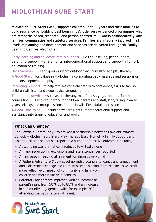**Midlothian Sure Start** (MSS) supports children up to 12 years and their families to build resilience by 'building best beginnings'. It delivers evidenced programmes which are strengths-based, respectful and person-centred. MSS works collaboratively with families, communities and statutory services. Families are integrally involved in all levels of planning and development and services are delivered through six Family Learning Centres which offer:

Early learning and childcare, family support – 1-2-1 counselling, peer support, parenting support, welfare rights, intergenerational support and support into work, education or training

Dads Services – 1-2-1 and group support, outdoor play, counselling and play therapy A Good Start – for babies in Midlothian incorporating baby massage and sessions on brain development and play

Parenting Support – to help families raise children with confidence, skills to talk so children will listen and sleep advice amongst others

Therapeutic services – such as art therapy, mindfulness, yoga, systemic family counselling, 1-2-1 and group work for children, parents and staff, storytelling in early years settings and group sessions for adults with Post Natal depression

A Good Time to be 2 – including welfare rights, intergenerational support and assistance into training, education and work.

#### What Can Change?

The Lawfield Community Project was a partnership between Lawfield Primary School, Midlothian Sure Start, Play Therapy Base, Homelink Family Support and Children 1st. The school has reported a number of positive outcomes including:

- **•** Absconding was dramatically reduced to virtually none
- **•** A major reduction in exclusions and late attendances reported
- **•** An increase in reading attainment for almost every child
- **•** A Fathers Adventure Club was set up with growing attendance and engagement and a discernible change in culture with schools being more 'dad inclusive', staff more reflective of impact of community and family on children and more inclusive of families
- **•** Parental Engagement improved with an increase at parent's night from 50% up to 85% and an increase in community engagement with, for example, 300 attending the Dads Festival of Talent.



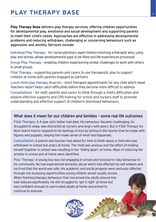## **PLAY THERAPY BASE PLAY THERAPY BASE**

**Play Therapy Base** delivers play therapy services, offering children opportunities for developmental play, emotional and social development and supporting parents to meet their child's needs. Approaches are effective in addressing developmental problems and reducing withdrawn, challenging or concerning behaviours such as aggression and anxiety. Services include:

Individual Play Therapy – for nursery/primary aged children involving a therapist who, using play and stories, allows developmental gaps to be filled and life-experiences processed

Group Play Therapy – enabling children experiencing similar challenges to work with others in small groups

Filial Therapy – supporting parents and carers to use therapeutic play to support children at home with parents engaged as partners

Lunch-time play therapy drop-ins – short therapist appointments for any child which Head Teachers report helps catch difficulties before they become more difficult to address

Consultations – for staff, parents and carers to think through a child's difficulties and explore effective supports and CPD training for school and nursery staff to promote understanding and effective support of children's distressed behaviours.

#### What does it mean for our children and families - some real life outcomes

Filial Therapy: A 4 year old's father had died. His behaviour became challenging, he struggled to sleep, was distracted at nursery and angry with peers. But in Filial Therapy his Mum learnt how to respond to his feelings of loss by joining in the stories that he made with figures and puppets, helping him make sense of what had happened.

Consultation: A parent and teacher had asked for time to think about a child who was withdrawn in school but angry at home. The child was anxious and the effort of holding herself together in school was resulting in her 'falling apart' at home. Ways of reducing her anxiety in school and at home were identified.

Play Therapy: A young boy was not engaging in school and involved in risky behaviour in his community. He had experienced domestic abuse which had affected his self-esteem and his trust that the world was safe. His academic and social progress were seriously affected through not accessing opportunities young children would usually access. When finishing therapy, behaviour that concerned the adults around him had reduced significantly. He still struggled to 'get it right' at times but was confident enough to use trusted adults at home and school to continue to improve.